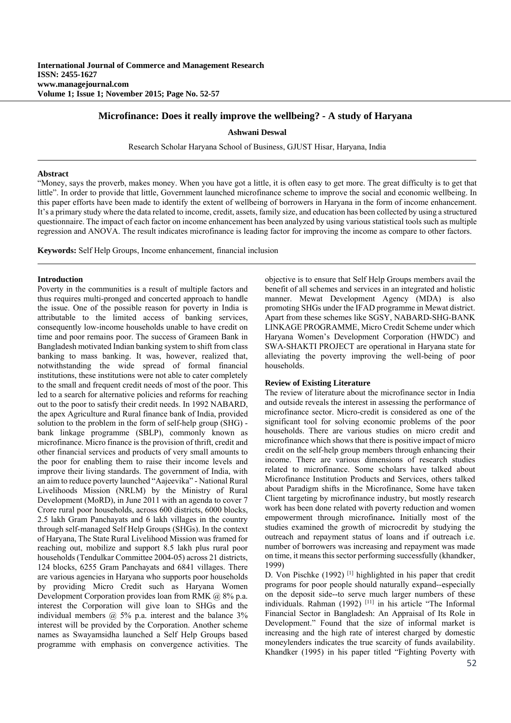# **Microfinance: Does it really improve the wellbeing? - A study of Haryana**

**Ashwani Deswal**

Research Scholar Haryana School of Business, GJUST Hisar, Haryana, India

#### **Abstract**

"Money, says the proverb, makes money. When you have got a little, it is often easy to get more. The great difficulty is to get that little". In order to provide that little, Government launched microfinance scheme to improve the social and economic wellbeing. In this paper efforts have been made to identify the extent of wellbeing of borrowers in Haryana in the form of income enhancement. It's a primary study where the data related to income, credit, assets, family size, and education has been collected by using a structured questionnaire. The impact of each factor on income enhancement has been analyzed by using various statistical tools such as multiple regression and ANOVA. The result indicates microfinance is leading factor for improving the income as compare to other factors.

**Keywords:** Self Help Groups, Income enhancement, financial inclusion

#### **Introduction**

Poverty in the communities is a result of multiple factors and thus requires multi-pronged and concerted approach to handle the issue. One of the possible reason for poverty in India is attributable to the limited access of banking services, consequently low-income households unable to have credit on time and poor remains poor. The success of Grameen Bank in Bangladesh motivated Indian banking system to shift from class banking to mass banking. It was, however, realized that, notwithstanding the wide spread of formal financial institutions, these institutions were not able to cater completely to the small and frequent credit needs of most of the poor. This led to a search for alternative policies and reforms for reaching out to the poor to satisfy their credit needs. In 1992 NABARD, the apex Agriculture and Rural finance bank of India, provided solution to the problem in the form of self-help group (SHG) bank linkage programme (SBLP), commonly known as microfinance. Micro finance is the provision of thrift, credit and other financial services and products of very small amounts to the poor for enabling them to raise their income levels and improve their living standards. The government of India, with an aim to reduce poverty launched "Aajeevika" - National Rural Livelihoods Mission (NRLM) by the Ministry of Rural Development (MoRD), in June 2011 with an agenda to cover 7 Crore rural poor households, across 600 districts, 6000 blocks, 2.5 lakh Gram Panchayats and 6 lakh villages in the country through self-managed Self Help Groups (SHGs). In the context of Haryana, The State Rural Livelihood Mission was framed for reaching out, mobilize and support 8.5 lakh plus rural poor households (Tendulkar Committee 2004-05) across 21 districts, 124 blocks, 6255 Gram Panchayats and 6841 villages. There are various agencies in Haryana who supports poor households by providing Micro Credit such as Haryana Women Development Corporation provides loan from RMK @ 8% p.a. interest the Corporation will give loan to SHGs and the individual members  $(a)$  5% p.a. interest and the balance 3% interest will be provided by the Corporation. Another scheme names as Swayamsidha launched a Self Help Groups based programme with emphasis on convergence activities. The

objective is to ensure that Self Help Groups members avail the benefit of all schemes and services in an integrated and holistic manner. Mewat Development Agency (MDA) is also promoting SHGs under the IFAD programme in Mewat district. Apart from these schemes like SGSY, NABARD-SHG-BANK LINKAGE PROGRAMME, Micro Credit Scheme under which Haryana Women's Development Corporation (HWDC) and SWA-SHAKTI PROJECT are operational in Haryana state for alleviating the poverty improving the well-being of poor households.

## **Review of Existing Literature**

The review of literature about the microfinance sector in India and outside reveals the interest in assessing the performance of microfinance sector. Micro-credit is considered as one of the significant tool for solving economic problems of the poor households. There are various studies on micro credit and microfinance which shows that there is positive impact of micro credit on the self-help group members through enhancing their income. There are various dimensions of research studies related to microfinance. Some scholars have talked about Microfinance Institution Products and Services, others talked about Paradigm shifts in the Microfinance, Some have taken Client targeting by microfinance industry, but mostly research work has been done related with poverty reduction and women empowerment through microfinance**.** Initially most of the studies examined the growth of microcredit by studying the outreach and repayment status of loans and if outreach i.e. number of borrowers was increasing and repayment was made on time, it means this sector performing successfully (khandker, 1999)

D. Von Pischke (1992)<sup>[1]</sup> highlighted in his paper that credit programs for poor people should naturally expand--especially on the deposit side--to serve much larger numbers of these individuals. Rahman (1992) [11] in his article "The Informal Financial Sector in Bangladesh: An Appraisal of Its Role in Development." Found that the size of informal market is increasing and the high rate of interest charged by domestic moneylenders indicates the true scarcity of funds availability. Khandker (1995) in his paper titled "Fighting Poverty with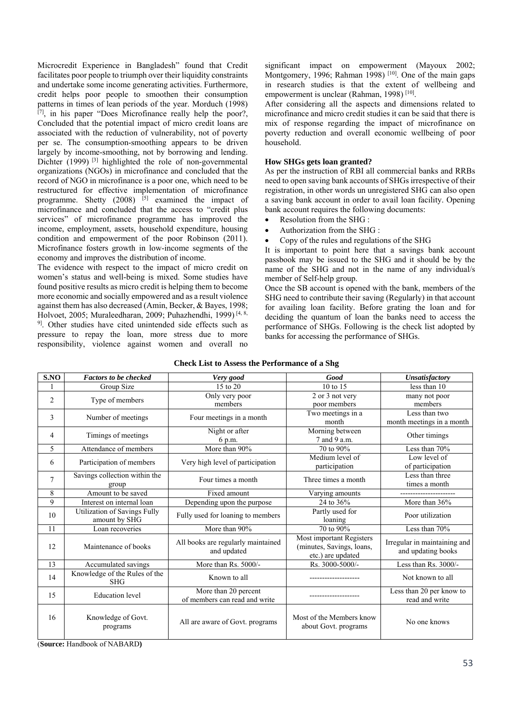Microcredit Experience in Bangladesh" found that Credit facilitates poor people to triumph over their liquidity constraints and undertake some income generating activities. Furthermore, credit helps poor people to smoothen their consumption patterns in times of lean periods of the year. Morduch (1998)  $[7]$ , in his paper "Does Microfinance really help the poor?, Concluded that the potential impact of micro credit loans are associated with the reduction of vulnerability, not of poverty per se. The consumption-smoothing appears to be driven largely by income-smoothing, not by borrowing and lending. Dichter (1999)<sup>[3]</sup> highlighted the role of non-governmental organizations (NGOs) in microfinance and concluded that the record of NGO in microfinance is a poor one, which need to be restructured for effective implementation of microfinance programme. Shetty  $(2008)$  [5] examined the impact of microfinance and concluded that the access to "credit plus services" of microfinance programme has improved the income, employment, assets, household expenditure, housing condition and empowerment of the poor Robinson (2011). Microfinance fosters growth in low-income segments of the economy and improves the distribution of income.

The evidence with respect to the impact of micro credit on women's status and well-being is mixed. Some studies have found positive results as micro credit is helping them to become more economic and socially empowered and as a result violence against them has also decreased (Amin, Becker, & Bayes, 1998; Holvoet, 2005; Muraleedharan, 2009; Puhazhendhi, 1999)<sup>[4, 8,</sup> <sup>9]</sup>. Other studies have cited unintended side effects such as pressure to repay the loan, more stress due to more responsibility, violence against women and overall no

significant impact on empowerment (Mayoux 2002; Montgomery, 1996; Rahman 1998)  $[10]$ . One of the main gaps in research studies is that the extent of wellbeing and empowerment is unclear (Rahman, 1998) [10].

After considering all the aspects and dimensions related to microfinance and micro credit studies it can be said that there is mix of response regarding the impact of microfinance on poverty reduction and overall economic wellbeing of poor household.

## **How SHGs gets loan granted?**

As per the instruction of RBI all commercial banks and RRBs need to open saving bank accounts of SHGs irrespective of their registration, in other words un unregistered SHG can also open a saving bank account in order to avail loan facility. Opening bank account requires the following documents:

- Resolution from the SHG :
- Authorization from the SHG :
- Copy of the rules and regulations of the SHG

It is important to point here that a savings bank account passbook may be issued to the SHG and it should be by the name of the SHG and not in the name of any individual/s member of Self-help group.

Once the SB account is opened with the bank, members of the SHG need to contribute their saving (Regularly) in that account for availing loan facility. Before grating the loan and for deciding the quantum of loan the banks need to access the performance of SHGs. Following is the check list adopted by banks for accessing the performance of SHGs.

| S.NO                              | <b>Factors to be checked</b>                                                    | Very good                                         | Good                                                                       | <b>Unsatisfactory</b>                              |  |
|-----------------------------------|---------------------------------------------------------------------------------|---------------------------------------------------|----------------------------------------------------------------------------|----------------------------------------------------|--|
|                                   | Group Size                                                                      | 15 to 20                                          | 10 to 15                                                                   | less than 10                                       |  |
| $\overline{2}$<br>Type of members |                                                                                 | 2 or 3 not very<br>Only very poor                 |                                                                            | many not poor                                      |  |
|                                   |                                                                                 | members                                           | poor members                                                               | members                                            |  |
| 3                                 | Number of meetings                                                              | Four meetings in a month                          | Two meetings in a                                                          | Less than two                                      |  |
|                                   |                                                                                 |                                                   | month                                                                      | month meetings in a month                          |  |
| 4                                 | Timings of meetings                                                             | Night or after                                    | Morning between                                                            | Other timings                                      |  |
|                                   |                                                                                 | 6 p.m.                                            | 7 and 9 a.m.                                                               |                                                    |  |
| 5                                 | Attendance of members                                                           | More than 90%                                     | 70 to 90%                                                                  | Less than 70%                                      |  |
| 6                                 |                                                                                 | Very high level of participation                  | Medium level of                                                            | Low level of                                       |  |
|                                   | Participation of members                                                        |                                                   | participation                                                              | of participation                                   |  |
| $\tau$                            | Savings collection within the                                                   | Four times a month                                | Three times a month                                                        | Less than three                                    |  |
|                                   | group                                                                           |                                                   |                                                                            | times a month                                      |  |
| 8                                 | Amount to be saved                                                              | Fixed amount<br>Varying amounts                   |                                                                            | -----------------------                            |  |
| 9                                 | Interest on internal loan                                                       | Depending upon the purpose                        | 24 to 36%                                                                  | More than 36%                                      |  |
| 10                                | Utilization of Savings Fully<br>amount by SHG                                   | Fully used for loaning to members                 | Partly used for<br>loaning                                                 | Poor utilization                                   |  |
| 11                                | Loan recoveries                                                                 | More than 90%                                     | 70 to 90%                                                                  | Less than 70%                                      |  |
| 12                                | Maintenance of books                                                            | All books are regularly maintained<br>and updated | Most important Registers<br>(minutes, Savings, loans,<br>etc.) are updated | Irregular in maintaining and<br>and updating books |  |
| 13                                | Accumulated savings                                                             | More than Rs. 5000/-                              | Rs. 3000-5000/-                                                            | Less than Rs. 3000/-                               |  |
| 14                                | Knowledge of the Rules of the<br><b>SHG</b>                                     | Known to all                                      |                                                                            | Not known to all                                   |  |
| 15                                | More than 20 percent<br><b>Education</b> level<br>of members can read and write |                                                   |                                                                            | Less than 20 per know to<br>read and write         |  |
| 16                                | Knowledge of Govt.<br>programs                                                  | All are aware of Govt. programs                   | Most of the Members know<br>about Govt. programs                           | No one knows                                       |  |

## **Check List to Assess the Performance of a Shg**

(**Source:** Handbook of NABARD**)**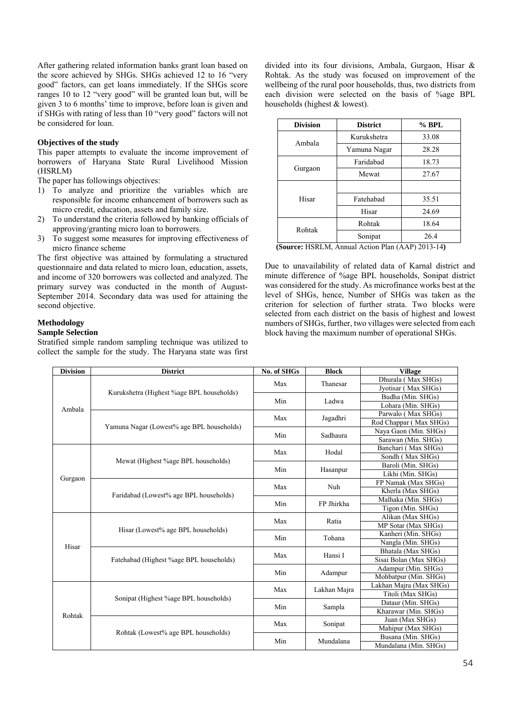After gathering related information banks grant loan based on the score achieved by SHGs. SHGs achieved 12 to 16 "very good" factors, can get loans immediately. If the SHGs score ranges 10 to 12 "very good" will be granted loan but, will be given 3 to 6 months' time to improve, before loan is given and if SHGs with rating of less than 10 "very good" factors will not be considered for loan.

# **Objectives of the study**

This paper attempts to evaluate the income improvement of borrowers of Haryana State Rural Livelihood Mission (HSRLM)

The paper has followings objectives:

- 1) To analyze and prioritize the variables which are responsible for income enhancement of borrowers such as micro credit, education, assets and family size.
- 2) To understand the criteria followed by banking officials of approving/granting micro loan to borrowers.
- 3) To suggest some measures for improving effectiveness of micro finance scheme

The first objective was attained by formulating a structured questionnaire and data related to micro loan, education, assets, and income of 320 borrowers was collected and analyzed. The primary survey was conducted in the month of August-September 2014. Secondary data was used for attaining the second objective.

# **Methodology**

# **Sample Selection**

Stratified simple random sampling technique was utilized to collect the sample for the study. The Haryana state was first divided into its four divisions, Ambala, Gurgaon, Hisar & Rohtak. As the study was focused on improvement of the wellbeing of the rural poor households, thus, two districts from each division were selected on the basis of %age BPL households (highest & lowest).

| <b>Division</b> | <b>District</b> |       |
|-----------------|-----------------|-------|
| Ambala          | Kurukshetra     | 33.08 |
|                 | Yamuna Nagar    | 28.28 |
|                 | Faridabad       | 18.73 |
| Gurgaon         | Mewat           | 27.67 |
|                 |                 |       |
| Hisar           | Fatehabad       | 35.51 |
|                 | Hisar           | 24.69 |
| Rohtak          | Rohtak          | 18.64 |
|                 | Sonipat         | 26.4  |

 **(Source:** HSRLM, Annual Action Plan (AAP) 2013-14**)**

Due to unavailability of related data of Karnal district and minute difference of %age BPL households, Sonipat district was considered for the study. As microfinance works best at the level of SHGs, hence, Number of SHGs was taken as the criterion for selection of further strata. Two blocks were selected from each district on the basis of highest and lowest numbers of SHGs, further, two villages were selected from each block having the maximum number of operational SHGs.

| <b>Division</b> | <b>District</b>                           | No. of SHGs | <b>Block</b> | <b>Village</b>          |
|-----------------|-------------------------------------------|-------------|--------------|-------------------------|
|                 |                                           | Max         | Thanesar     | Dhurala (Max SHGs)      |
|                 | Kurukshetra (Highest %age BPL households) |             |              | Jyotisar (Max SHGs)     |
|                 |                                           | Min         | Ladwa        | Budha (Min. SHGs)       |
| Ambala          |                                           |             |              | Lohara (Min. SHGs)      |
|                 |                                           | Max         | Jagadhri     | Parwalo (Max SHGs)      |
|                 | Yamuna Nagar (Lowest% age BPL households) |             |              | Rod Chappar (Max SHGs)  |
|                 |                                           | Min         | Sadhaura     | Naya Gaon (Min. SHGs)   |
|                 |                                           |             |              | Sarawan (Min. SHGs)     |
|                 | Mewat (Highest %age BPL households)       | Max         | Hodal        | Banchari (Max SHGs)     |
|                 |                                           |             |              | Sondh (Max SHGs)        |
|                 |                                           | Min         |              | Baroli (Min. SHGs)      |
| Gurgaon         |                                           |             | Hasanpur     | Likhi (Min. SHGs)       |
|                 | Faridabad (Lowest% age BPL households)    | Max         | Nuh          | FP Namak (Max SHGs)     |
|                 |                                           |             |              | Kherla (Max SHGs)       |
|                 |                                           | Min         | FP Jhirkha   | Malhaka (Min. SHGs)     |
|                 |                                           |             |              | Tigon (Min. SHGs)       |
|                 | Hisar (Lowest% age BPL households)        | Max         | Ratia        | Alikan (Max SHGs)       |
|                 |                                           |             |              | MP Sotar (Max SHGs)     |
|                 |                                           | Min         | Tohana       | Kanheri (Min. SHGs)     |
| Hisar           |                                           |             |              | Nangla (Min. SHGs)      |
|                 |                                           | Max         | Hansi I      | Bhatala (Max SHGs)      |
|                 | Fatehabad (Highest %age BPL households)   |             |              | Sisai Bolan (Max SHGs)  |
|                 |                                           | Min         | Adampur      | Adampur (Min. SHGs)     |
|                 |                                           |             |              | Mohbatpur (Min. SHGs)   |
|                 | Sonipat (Highest %age BPL households)     | Max         | Lakhan Majra | Lakhan Majra (Max SHGs) |
| Rohtak          |                                           |             |              | Titoli (Max SHGs)       |
|                 |                                           | Min         | Sampla       | Dataur (Min. SHGs)      |
|                 |                                           |             |              | Kharawar (Min. SHGs)    |
|                 |                                           | Max         | Sonipat      | Juan (Max SHGs)         |
|                 | Rohtak (Lowest% age BPL households)       |             |              | Mahipur (Max SHGs)      |
|                 |                                           | Min         | Mundalana    | Busana (Min. SHGs)      |
|                 |                                           |             |              | Mundalana (Min. SHGs)   |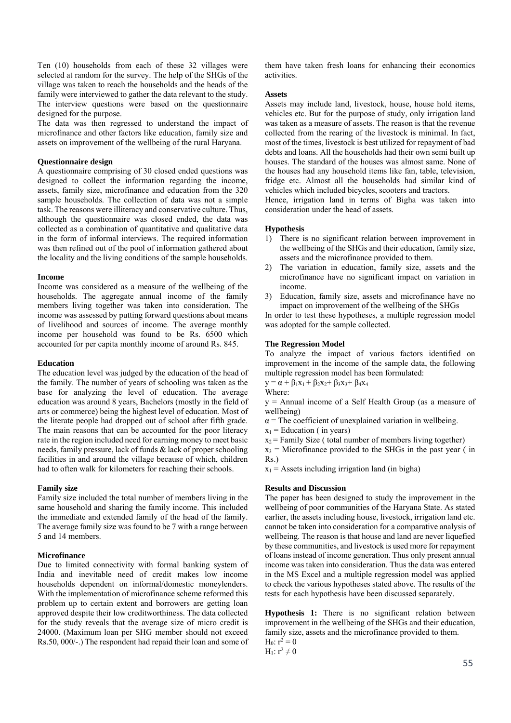Ten (10) households from each of these 32 villages were selected at random for the survey. The help of the SHGs of the village was taken to reach the households and the heads of the family were interviewed to gather the data relevant to the study. The interview questions were based on the questionnaire designed for the purpose.

The data was then regressed to understand the impact of microfinance and other factors like education, family size and assets on improvement of the wellbeing of the rural Haryana.

## **Questionnaire design**

A questionnaire comprising of 30 closed ended questions was designed to collect the information regarding the income, assets, family size, microfinance and education from the 320 sample households. The collection of data was not a simple task. The reasons were illiteracy and conservative culture. Thus, although the questionnaire was closed ended, the data was collected as a combination of quantitative and qualitative data in the form of informal interviews. The required information was then refined out of the pool of information gathered about the locality and the living conditions of the sample households.

### **Income**

Income was considered as a measure of the wellbeing of the households. The aggregate annual income of the family members living together was taken into consideration. The income was assessed by putting forward questions about means of livelihood and sources of income. The average monthly income per household was found to be Rs. 6500 which accounted for per capita monthly income of around Rs. 845.

## **Education**

The education level was judged by the education of the head of the family. The number of years of schooling was taken as the base for analyzing the level of education. The average education was around 8 years, Bachelors (mostly in the field of arts or commerce) being the highest level of education. Most of the literate people had dropped out of school after fifth grade. The main reasons that can be accounted for the poor literacy rate in the region included need for earning money to meet basic needs, family pressure, lack of funds & lack of proper schooling facilities in and around the village because of which, children had to often walk for kilometers for reaching their schools.

## **Family size**

Family size included the total number of members living in the same household and sharing the family income. This included the immediate and extended family of the head of the family. The average family size was found to be 7 with a range between 5 and 14 members.

## **Microfinance**

Due to limited connectivity with formal banking system of India and inevitable need of credit makes low income households dependent on informal/domestic moneylenders. With the implementation of microfinance scheme reformed this problem up to certain extent and borrowers are getting loan approved despite their low creditworthiness. The data collected for the study reveals that the average size of micro credit is 24000. (Maximum loan per SHG member should not exceed Rs.50, 000/-.) The respondent had repaid their loan and some of them have taken fresh loans for enhancing their economics activities.

#### **Assets**

Assets may include land, livestock, house, house hold items, vehicles etc. But for the purpose of study, only irrigation land was taken as a measure of assets. The reason is that the revenue collected from the rearing of the livestock is minimal. In fact, most of the times, livestock is best utilized for repayment of bad debts and loans. All the households had their own semi built up houses. The standard of the houses was almost same. None of the houses had any household items like fan, table, television, fridge etc. Almost all the households had similar kind of vehicles which included bicycles, scooters and tractors.

Hence, irrigation land in terms of Bigha was taken into consideration under the head of assets.

## **Hypothesis**

- 1) There is no significant relation between improvement in the wellbeing of the SHGs and their education, family size, assets and the microfinance provided to them.
- 2) The variation in education, family size, assets and the microfinance have no significant impact on variation in income.
- 3) Education, family size, assets and microfinance have no impact on improvement of the wellbeing of the SHGs

In order to test these hypotheses, a multiple regression model was adopted for the sample collected.

## **The Regression Model**

To analyze the impact of various factors identified on improvement in the income of the sample data, the following multiple regression model has been formulated:

 $y = \alpha + \beta_1x_1 + \beta_2x_2 + \beta_3x_3 + \beta_4x_4$ Where:

y = Annual income of a Self Health Group (as a measure of wellbeing)

 $\alpha$  = The coefficient of unexplained variation in wellbeing.

 $x_1$  = Education ( in years)

 $x_2$  = Family Size ( total number of members living together)

 $x_3$  = Microfinance provided to the SHGs in the past year (in Rs.)

 $x_1$  = Assets including irrigation land (in bigha)

## **Results and Discussion**

The paper has been designed to study the improvement in the wellbeing of poor communities of the Haryana State. As stated earlier, the assets including house, livestock, irrigation land etc. cannot be taken into consideration for a comparative analysis of wellbeing. The reason is that house and land are never liquefied by these communities, and livestock is used more for repayment of loans instead of income generation. Thus only present annual income was taken into consideration. Thus the data was entered in the MS Excel and a multiple regression model was applied to check the various hypotheses stated above. The results of the tests for each hypothesis have been discussed separately.

**Hypothesis 1:** There is no significant relation between improvement in the wellbeing of the SHGs and their education, family size, assets and the microfinance provided to them. H<sub>0</sub>:  $r^2 = 0$ 

H<sub>1</sub>:  $r^2 \neq 0$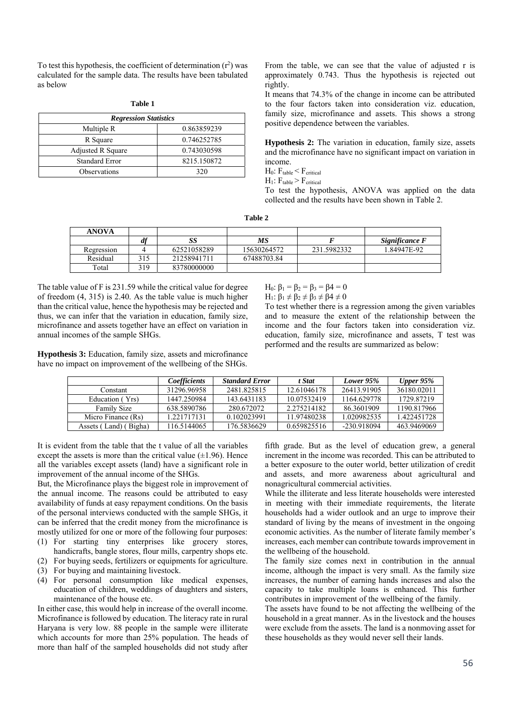To test this hypothesis, the coefficient of determination  $(r^2)$  was calculated for the sample data. The results have been tabulated as below

| т |  |
|---|--|
|---|--|

| <b>Regression Statistics</b> |             |  |  |  |
|------------------------------|-------------|--|--|--|
| Multiple R                   | 0.863859239 |  |  |  |
| R Square                     | 0.746252785 |  |  |  |
| Adjusted R Square            | 0.743030598 |  |  |  |
| <b>Standard Error</b>        | 8215.150872 |  |  |  |
| Observations                 | 320         |  |  |  |

From the table, we can see that the value of adjusted r is approximately 0.743. Thus the hypothesis is rejected out rightly.

It means that 74.3% of the change in income can be attributed to the four factors taken into consideration viz. education, family size, microfinance and assets. This shows a strong positive dependence between the variables.

**Hypothesis 2:** The variation in education, family size, assets and the microfinance have no significant impact on variation in income.

 $H_0$ :  $F_{table} < F_{critical}$ 

 $H_1$ :  $F_{table}$  >  $F_{critical}$ 

To test the hypothesis, ANOVA was applied on the data collected and the results have been shown in Table 2.

**Table 2**

| <b>ANOVA</b> |     |             |             |             |                |
|--------------|-----|-------------|-------------|-------------|----------------|
|              |     | δŚ          | МS          |             | Significance F |
| Regression   |     | 62521058289 | 15630264572 | 231.5982332 | 1.84947E-92    |
| Residual     |     | 21258941711 | 67488703.84 |             |                |
| Total        | 319 | 83780000000 |             |             |                |

The table value of F is 231.59 while the critical value for degree of freedom (4, 315) is 2.40. As the table value is much higher than the critical value, hence the hypothesis may be rejected and thus, we can infer that the variation in education, family size, microfinance and assets together have an effect on variation in annual incomes of the sample SHGs.

H<sub>0</sub>:  $\beta_1 = \beta_2 = \beta_3 = \beta_4 = 0$ 

H<sub>1</sub>:  $\beta_1 \neq \beta_2 \neq \beta_3 \neq \beta_4 \neq 0$ 

To test whether there is a regression among the given variables and to measure the extent of the relationship between the income and the four factors taken into consideration viz. education, family size, microfinance and assets, T test was performed and the results are summarized as below:

**Hypothesis 3:** Education, family size, assets and microfinance have no impact on improvement of the wellbeing of the SHGs.

|                             | <i>Coefficients</i> | <b>Standard Error</b> | t Stat      | Lower 95%   | Upper $95\%$ |
|-----------------------------|---------------------|-----------------------|-------------|-------------|--------------|
| Constant                    | 31296.96958         | 2481.825815           | 12.61046178 | 26413.91905 | 36180.02011  |
| Education (Yrs)             | 1447.250984         | 143.6431183           | 10.07532419 | 1164.629778 | 1729.87219   |
| <b>Family Size</b>          | 638.5890786         | 280.672072            | 2.275214182 | 86.3601909  | 1190.817966  |
| Micro Finance (Rs)          | 1.221717131         | 0.102023991           | 11.97480238 | 1.020982535 | 1.422451728  |
| Bigha)<br>Land) (<br>Assets | 116.5144065         | 176.5836629           | 0.659825516 | -230.918094 | 463.9469069  |

It is evident from the table that the t value of all the variables except the assets is more than the critical value  $(\pm 1.96)$ . Hence all the variables except assets (land) have a significant role in improvement of the annual income of the SHGs.

But, the Microfinance plays the biggest role in improvement of the annual income. The reasons could be attributed to easy availability of funds at easy repayment conditions. On the basis of the personal interviews conducted with the sample SHGs, it can be inferred that the credit money from the microfinance is mostly utilized for one or more of the following four purposes:

- (1) For starting tiny enterprises like grocery stores, handicrafts, bangle stores, flour mills, carpentry shops etc.
- (2) For buying seeds, fertilizers or equipments for agriculture.
- (3) For buying and maintaining livestock.
- (4) For personal consumption like medical expenses, education of children, weddings of daughters and sisters, maintenance of the house etc.

In either case, this would help in increase of the overall income. Microfinance is followed by education. The literacy rate in rural Haryana is very low. 88 people in the sample were illiterate which accounts for more than 25% population. The heads of more than half of the sampled households did not study after

fifth grade. But as the level of education grew, a general increment in the income was recorded. This can be attributed to a better exposure to the outer world, better utilization of credit and assets, and more awareness about agricultural and nonagricultural commercial activities.

While the illiterate and less literate households were interested in meeting with their immediate requirements, the literate households had a wider outlook and an urge to improve their standard of living by the means of investment in the ongoing economic activities. As the number of literate family member's increases, each member can contribute towards improvement in the wellbeing of the household.

The family size comes next in contribution in the annual income, although the impact is very small. As the family size increases, the number of earning hands increases and also the capacity to take multiple loans is enhanced. This further contributes in improvement of the wellbeing of the family.

The assets have found to be not affecting the wellbeing of the household in a great manner. As in the livestock and the houses were exclude from the assets. The land is a nonmoving asset for these households as they would never sell their lands.